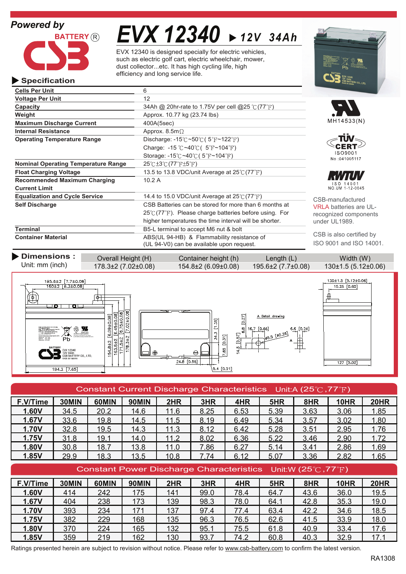

# *EVX 12340 12V 34Ah*

EVX 12340 is designed specially for electric vehicles, such as electric golf cart, electric wheelchair, mower, dust collector...etc. It has high cycling life, high efficiency and long service life.

| <b>Specification</b>                       |                                                                           | <b>EXAMPLE 12V 34Ah</b> CSB BATTERY CO., LTD. |
|--------------------------------------------|---------------------------------------------------------------------------|-----------------------------------------------|
| <b>Cells Per Unit</b>                      | 6                                                                         |                                               |
| <b>Voltage Per Unit</b>                    | 12                                                                        |                                               |
| Capacity                                   | 34Ah @ 20hr-rate to 1.75V per cell @25 °C (77°F)                          |                                               |
| Weight                                     | Approx. 10.77 kg (23.74 lbs)                                              |                                               |
| <b>Maximum Discharge Current</b>           | 400A(5sec)                                                                | MH14533(N)                                    |
| <b>Internal Resistance</b>                 | Approx. 8.5m $\Omega$                                                     |                                               |
| <b>Operating Temperature Range</b>         | Discharge: $-15^{\circ}$ C ~50 $\circ$ C (5 $\circ$ F ~122 $\circ$ F)     |                                               |
|                                            | Charge: -15 $\degree$ C ~40 $\degree$ C ( 5 $\degree$ F ~104 $\degree$ F) |                                               |
|                                            | Storage: -15 $\degree$ C ~40 $\degree$ C (5 $\degree$ F ~104 $\degree$ F) | ISO9001<br>No:041005117                       |
| <b>Nominal Operating Temperature Range</b> | $25^{\circ}$ C $\pm 3^{\circ}$ C $(77^{\circ}$ F $\pm 5^{\circ}$ F)       |                                               |
| <b>Float Charging Voltage</b>              | 13.5 to 13.8 VDC/unit Average at 25°C (77°F)                              |                                               |
| <b>Recommended Maximum Charging</b>        | 10.2A                                                                     | ISO 14001                                     |
| <b>Current Limit</b>                       |                                                                           | NO.UM 1-12-0045                               |
| <b>Equalization and Cycle Service</b>      | 14.4 to 15.0 VDC/unit Average at $25^{\circ}$ (77 $^{\circ}$ F)           | CSB-manufactured                              |
| <b>Self Discharge</b>                      | CSB Batteries can be stored for more than 6 months at                     | <b>VRLA batteries are U</b>                   |
|                                            | $25^{\circ}$ (77°F). Please charge batteries before using. For            | recognized compone                            |
|                                            | higher temperatures the time interval will be shorter.                    | under UL1989.                                 |
| <b>Terminal</b>                            | B5-L terminal to accept M6 nut & bolt                                     |                                               |
| <b>Container Material</b>                  | ABS(UL 94-HB) & Flammability resistance of                                | CSB is also certified                         |
|                                            | (UL 94-V0) can be available upon request.                                 | ISO 9001 and ISO 14                           |

| Dimensions :     | Overall Height (H)            | Container height (h)          | $\text{Length} (L)$         | Width (W)                |
|------------------|-------------------------------|-------------------------------|-----------------------------|--------------------------|
| Unit: mm (inch)_ | $178.3 \pm 2 (7.02 \pm 0.08)$ | $154.8 \pm 2 (6.09 \pm 0.08)$ | $195.6{\pm}2(7.7{\pm}0.08)$ | $130\pm1.5(5.12\pm0.06)$ |



## Constant Current Discharge Characteristics Unit:A (25°C,77°F)

| F.V/Time     | 30MIN | 60MIN | <b>90MIN</b> | 2HR  | 3HR  | 4HR  | 5HR  | 8HR  | <b>10HR</b> | 20HR |
|--------------|-------|-------|--------------|------|------|------|------|------|-------------|------|
| 1.60V        | 34.5  | 20.2  | 14.6         | 11.6 | 8.25 | 6.53 | 5.39 | 3.63 | 3.06        | 1.85 |
| 1.67V        | 33.6  | 19.8  | 14.5         | 11.5 | 8.19 | 6.49 | 5.34 | 3.57 | 3.02        | 1.80 |
| <b>1.70V</b> | 32.8  | 19.5  | 14.3         | 11.3 | 8.12 | 6.42 | 5.28 | 3.51 | 2.95        | 1.76 |
| 1.75V        | 31.8  | 19.1  | 14.0         | 11.2 | 8.02 | 6.36 | 5.22 | 3.46 | 2.90        | 1.72 |
| 1.80V        | 30.8  | 18.7  | 13.8         | 11.0 | 7.86 | 6.27 | 5.14 | 3.41 | 2.86        | 1.69 |
| 1.85V        | 29.9  | 18.3  | 13.5         | 10.8 | 7.74 | 6.12 | 5.07 | 3.36 | 2.82        | 1.65 |

## Constant Power Discharge Characteristics Unit: W (25°C, 77°F)

| F.V/Time     | 30MIN | 60MIN | <b>90MIN</b> | 2HR | 3HR  | 4HR  | 5HR  | 8HR  | <b>10HR</b> | 20HR |
|--------------|-------|-------|--------------|-----|------|------|------|------|-------------|------|
| 1.60V        | 414   | 242   | 175          | 141 | 99.0 | 78.4 | 64.7 | 43.6 | 36.0        | 19.5 |
| 1.67V        | 404   | 238   | 173          | 139 | 98.3 | 78.0 | 64.1 | 42.8 | 35.3        | 19.0 |
| <b>1.70V</b> | 393   | 234   | 171          | 137 | 97.4 | 77.4 | 63.4 | 42.2 | 34.6        | 18.5 |
| 1.75V        | 382   | 229   | 168          | 135 | 96.3 | 76.5 | 62.6 | 41.5 | 33.9        | 18.0 |
| 1.80V        | 370   | 224   | 165          | 132 | 95.1 | 75.5 | 61.8 | 40.9 | 33.4        | 17.6 |
| 1.85V        | 359   | 219   | 162          | 130 | 93.7 | 74.2 | 60.8 | 40.3 | 32.9        | 17.  |

Ratings presented herein are subject to revision without notice. Please refer to www.csb-battery.com to confirm the latest version.



VRLA batteries are ULnts:

by 4001.